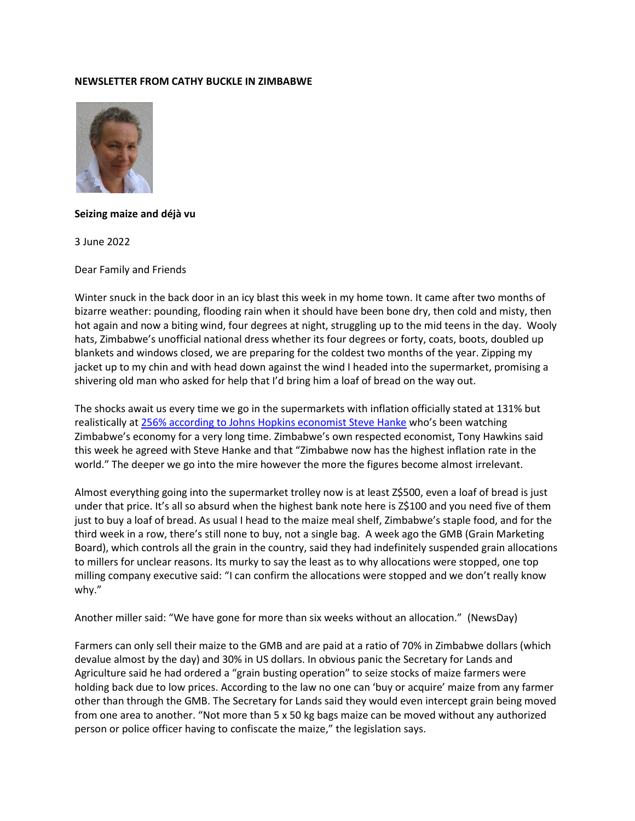## **NEWSLETTER FROM CATHY BUCKLE IN ZIMBABWE**



## **Seizing maize and déjà vu**

3 June 2022

Dear Family and Friends

Winter snuck in the back door in an icy blast this week in my home town. It came after two months of bizarre weather: pounding, flooding rain when it should have been bone dry, then cold and misty, then hot again and now a biting wind, four degrees at night, struggling up to the mid teens in the day. Wooly hats, Zimbabwe's unofficial national dress whether its four degrees or forty, coats, boots, doubled up blankets and windows closed, we are preparing for the coldest two months of the year. Zipping my jacket up to my chin and with head down against the wind I headed into the supermarket, promising a shivering old man who asked for help that I'd bring him a loaf of bread on the way out.

The shocks await us every time we go in the supermarkets with inflation officially stated at 131% but realistically at [256% according to Johns Hopkins economist Steve Hanke](https://www.newsday.co.zw/2022/05/zim-has-highest-inflation-globally/) who's been watching Zimbabwe's economy for a very long time. Zimbabwe's own respected economist, Tony Hawkins said this week he agreed with Steve Hanke and that "Zimbabwe now has the highest inflation rate in the world." The deeper we go into the mire however the more the figures become almost irrelevant.

Almost everything going into the supermarket trolley now is at least Z\$500, even a loaf of bread is just under that price. It's all so absurd when the highest bank note here is Z\$100 and you need five of them just to buy a loaf of bread. As usual I head to the maize meal shelf, Zimbabwe's staple food, and for the third week in a row, there's still none to buy, not a single bag. A week ago the GMB (Grain Marketing Board), which controls all the grain in the country, said they had indefinitely suspended grain allocations to millers for unclear reasons. Its murky to say the least as to why allocations were stopped, one top milling company executive said: "I can confirm the allocations were stopped and we don't really know why."

Another miller said: "We have gone for more than six weeks without an allocation." (NewsDay)

Farmers can only sell their maize to the GMB and are paid at a ratio of 70% in Zimbabwe dollars (which devalue almost by the day) and 30% in US dollars. In obvious panic the Secretary for Lands and Agriculture said he had ordered a "grain busting operation" to seize stocks of maize farmers were holding back due to low prices. According to the law no one can 'buy or acquire' maize from any farmer other than through the GMB. The Secretary for Lands said they would even intercept grain being moved from one area to another. "Not more than 5 x 50 kg bags maize can be moved without any authorized person or police officer having to confiscate the maize," the legislation says.